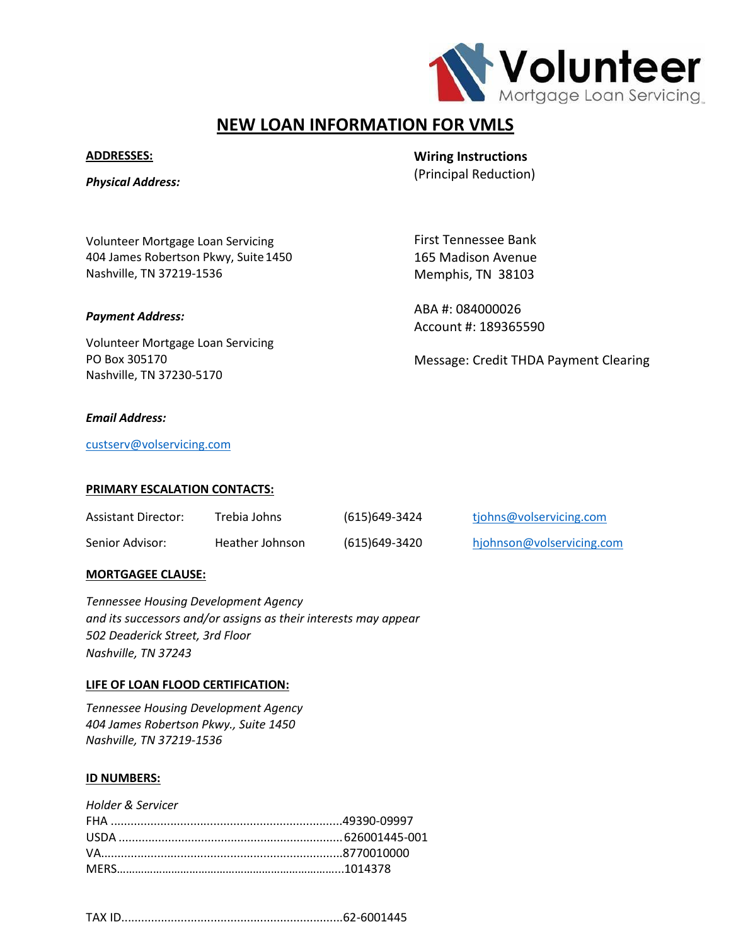

# **NEW LOAN INFORMATION FOR VMLS**

## **ADDRESSES:**

*Physical Address:*

Volunteer Mortgage Loan Servicing 404 James Robertson Pkwy, Suite 1450 Nashville, TN 37219-1536

## *Payment Address:*

Volunteer Mortgage Loan Servicing PO Box 305170 Nashville, TN 37230-5170

## *Email Address:*

[custserv@volservicing.com](mailto:custserv@volservicing.com)

## **PRIMARY ESCALATION CONTACTS:**

| Assistant Director: | Trebia Johns    | (615)649-3424 | tjohns@volservicing.com   |
|---------------------|-----------------|---------------|---------------------------|
| Senior Advisor:     | Heather Johnson | (615)649-3420 | hjohnson@volservicing.com |

## **MORTGAGEE CLAUSE:**

*Tennessee Housing Development Agency and its successors and/or assigns as their interests may appear 502 Deaderick Street, 3rd Floor Nashville, TN 37243*

## **LIFE OF LOAN FLOOD CERTIFICATION:**

*Tennessee Housing Development Agency 404 James Robertson Pkwy., Suite 1450 Nashville, TN 37219-1536*

## **ID NUMBERS:**

| <b>Holder &amp; Servicer</b> |  |
|------------------------------|--|
|                              |  |
|                              |  |
|                              |  |
|                              |  |

TAX ID...................................................................62-6001445

**Wiring Instructions**

(Principal Reduction)

First Tennessee Bank 165 Madison Avenue Memphis, TN 38103

ABA #: 084000026 Account #: 189365590

Message: Credit THDA Payment Clearing